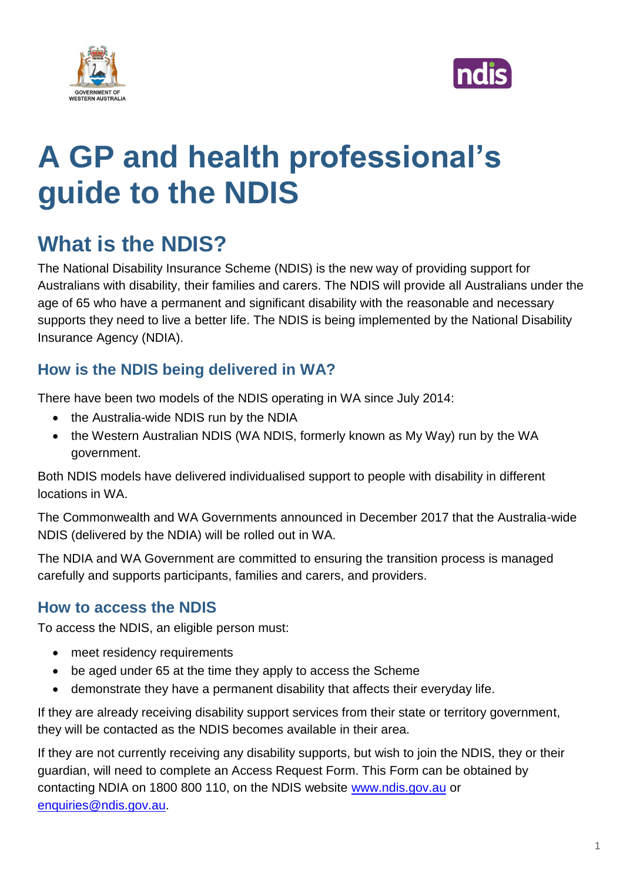



# **A GP and health professional's guide to the NDIS**

# **What is the NDIS?**

The National Disability Insurance Scheme (NDIS) is the new way of providing support for Australians with disability, their families and carers. The NDIS will provide all Australians under the age of 65 who have a permanent and significant disability with the reasonable and necessary supports they need to live a better life. The NDIS is being implemented by the National Disability Insurance Agency (NDIA).

# **How is the NDIS being delivered in WA?**

There have been two models of the NDIS operating in WA since July 2014:

- the Australia-wide NDIS run by the NDIA
- the Western Australian NDIS (WA NDIS, formerly known as My Way) run by the WA government.

Both NDIS models have delivered individualised support to people with disability in different locations in WA.

The Commonwealth and WA Governments announced in December 2017 that the Australia-wide NDIS (delivered by the NDIA) will be rolled out in WA.

The NDIA and WA Government are committed to ensuring the transition process is managed carefully and supports participants, families and carers, and providers.

## **How to access the NDIS**

To access the NDIS, an eligible person must:

- meet residency requirements
- be aged under 65 at the time they apply to access the Scheme
- demonstrate they have a permanent disability that affects their everyday life.

If they are already receiving disability support services from their state or territory government, they will be contacted as the NDIS becomes available in their area.

If they are not currently receiving any disability supports, but wish to join the NDIS, they or their guardian, will need to complete an Access Request Form. This Form can be obtained by contacting NDIA on 1800 800 110, on the NDIS website [www.ndis.gov.au](http://www.ndis.gov.au/) or [enquiries@ndis.gov.au.](mailto:enquiries@ndis.gov.au)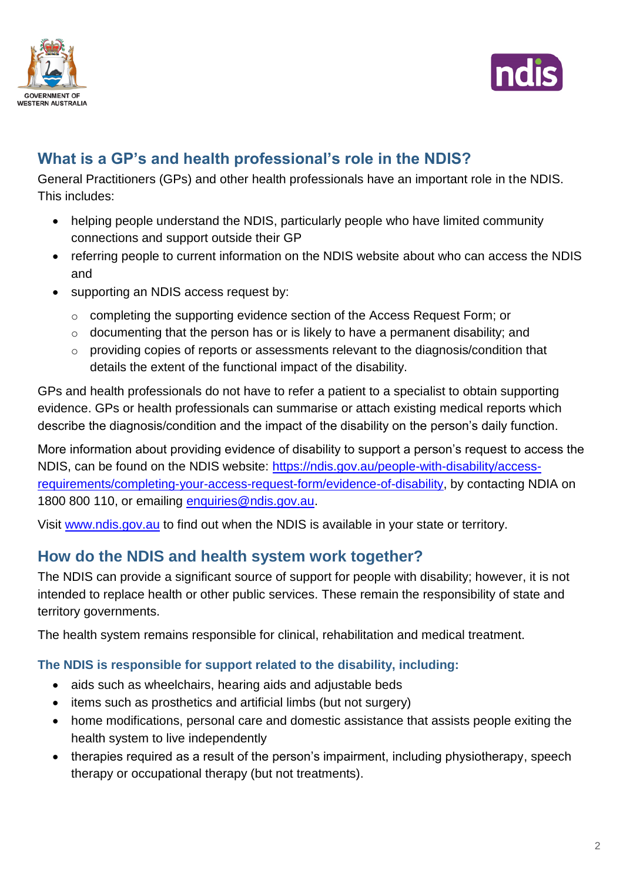



# **What is a GP's and health professional's role in the NDIS?**

General Practitioners (GPs) and other health professionals have an important role in the NDIS. This includes:

- helping people understand the NDIS, particularly people who have limited community connections and support outside their GP
- referring people to current information on the NDIS website about who can access the NDIS and
- supporting an NDIS access request by:
	- o completing the supporting evidence section of the Access Request Form; or
	- $\circ$  documenting that the person has or is likely to have a permanent disability; and
	- o providing copies of reports or assessments relevant to the diagnosis/condition that details the extent of the functional impact of the disability.

GPs and health professionals do not have to refer a patient to a specialist to obtain supporting evidence. GPs or health professionals can summarise or attach existing medical reports which describe the diagnosis/condition and the impact of the disability on the person's daily function.

More information about providing evidence of disability to support a person's request to access the NDIS, can be found on the NDIS website: [https://ndis.gov.au/people-with-disability/access](https://ndis.gov.au/people-with-disability/access-requirements/completing-your-access-request-form/evidence-of-disability)[requirements/completing-your-access-request-form/evidence-of-disability,](https://ndis.gov.au/people-with-disability/access-requirements/completing-your-access-request-form/evidence-of-disability) by contacting NDIA on 1800 800 110, or emailing [enquiries@ndis.gov.au.](mailto:enquiries@ndis.gov.au)

Visit [www.ndis.gov.au](http://www.ndis.gov.au/) to find out when the NDIS is available in your state or territory.

# **How do the NDIS and health system work together?**

The NDIS can provide a significant source of support for people with disability; however, it is not intended to replace health or other public services. These remain the responsibility of state and territory governments.

The health system remains responsible for clinical, rehabilitation and medical treatment.

#### **The NDIS is responsible for support related to the disability, including:**

- aids such as wheelchairs, hearing aids and adjustable beds
- items such as prosthetics and artificial limbs (but not surgery)
- home modifications, personal care and domestic assistance that assists people exiting the health system to live independently
- therapies required as a result of the person's impairment, including physiotherapy, speech therapy or occupational therapy (but not treatments).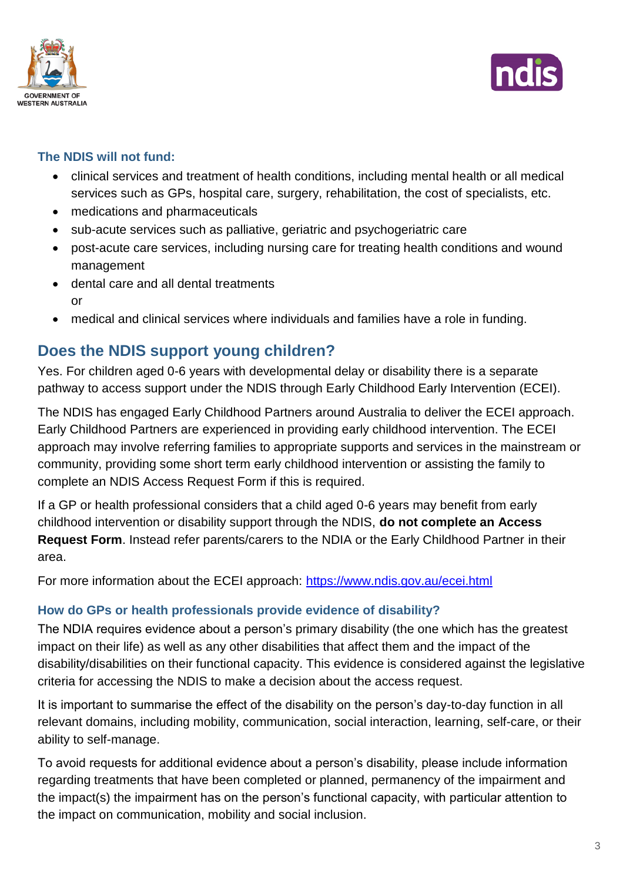



#### **The NDIS will not fund:**

- clinical services and treatment of health conditions, including mental health or all medical services such as GPs, hospital care, surgery, rehabilitation, the cost of specialists, etc.
- medications and pharmaceuticals
- sub-acute services such as palliative, geriatric and psychogeriatric care
- post-acute care services, including nursing care for treating health conditions and wound management
- dental care and all dental treatments or
- medical and clinical services where individuals and families have a role in funding.

# **Does the NDIS support young children?**

Yes. For children aged 0-6 years with developmental delay or disability there is a separate pathway to access support under the NDIS through Early Childhood Early Intervention (ECEI).

The NDIS has engaged Early Childhood Partners around Australia to deliver the ECEI approach. Early Childhood Partners are experienced in providing early childhood intervention. The ECEI approach may involve referring families to appropriate supports and services in the mainstream or community, providing some short term early childhood intervention or assisting the family to complete an NDIS Access Request Form if this is required.

If a GP or health professional considers that a child aged 0-6 years may benefit from early childhood intervention or disability support through the NDIS, **do not complete an Access Request Form**. Instead refer parents/carers to the NDIA or the Early Childhood Partner in their area.

For more information about the ECEI approach:<https://www.ndis.gov.au/ecei.html>

#### **How do GPs or health professionals provide evidence of disability?**

The NDIA requires evidence about a person's primary disability (the one which has the greatest impact on their life) as well as any other disabilities that affect them and the impact of the disability/disabilities on their functional capacity. This evidence is considered against the legislative criteria for accessing the NDIS to make a decision about the access request.

It is important to summarise the effect of the disability on the person's day-to-day function in all relevant domains, including mobility, communication, social interaction, learning, self-care, or their ability to self-manage.

To avoid requests for additional evidence about a person's disability, please include information regarding treatments that have been completed or planned, permanency of the impairment and the impact(s) the impairment has on the person's functional capacity, with particular attention to the impact on communication, mobility and social inclusion.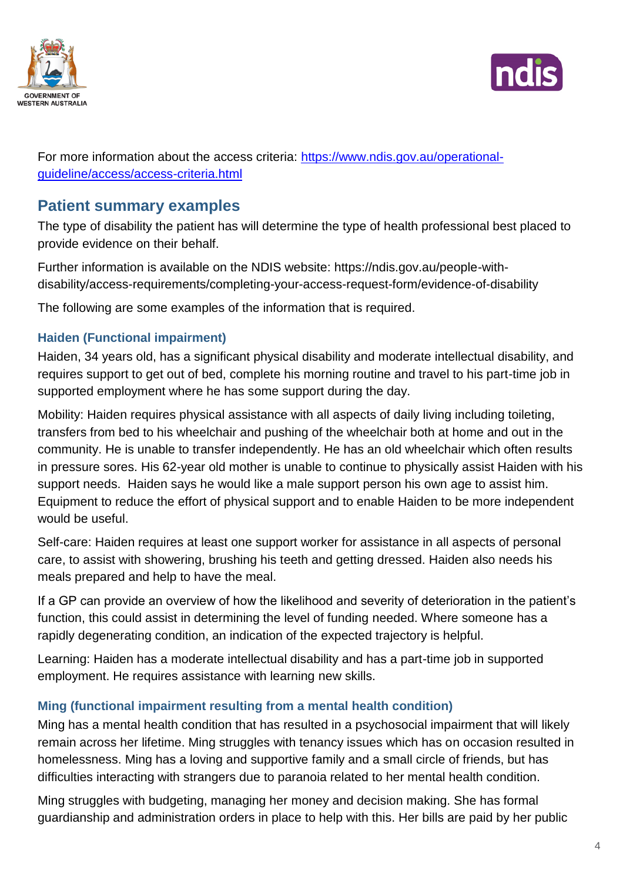



For more information about the access criteria: [https://www.ndis.gov.au/operational](https://www.ndis.gov.au/operational-guideline/access/access-criteria.html)[guideline/access/access-criteria.html](https://www.ndis.gov.au/operational-guideline/access/access-criteria.html)

# **Patient summary examples**

The type of disability the patient has will determine the type of health professional best placed to provide evidence on their behalf.

Further information is available on the NDIS website: https://ndis.gov.au/people-withdisability/access-requirements/completing-your-access-request-form/evidence-of-disability

The following are some examples of the information that is required.

#### **Haiden (Functional impairment)**

Haiden, 34 years old, has a significant physical disability and moderate intellectual disability, and requires support to get out of bed, complete his morning routine and travel to his part-time job in supported employment where he has some support during the day.

Mobility: Haiden requires physical assistance with all aspects of daily living including toileting, transfers from bed to his wheelchair and pushing of the wheelchair both at home and out in the community. He is unable to transfer independently. He has an old wheelchair which often results in pressure sores. His 62-year old mother is unable to continue to physically assist Haiden with his support needs. Haiden says he would like a male support person his own age to assist him. Equipment to reduce the effort of physical support and to enable Haiden to be more independent would be useful.

Self-care: Haiden requires at least one support worker for assistance in all aspects of personal care, to assist with showering, brushing his teeth and getting dressed. Haiden also needs his meals prepared and help to have the meal.

If a GP can provide an overview of how the likelihood and severity of deterioration in the patient's function, this could assist in determining the level of funding needed. Where someone has a rapidly degenerating condition, an indication of the expected trajectory is helpful.

Learning: Haiden has a moderate intellectual disability and has a part-time job in supported employment. He requires assistance with learning new skills.

#### **Ming (functional impairment resulting from a mental health condition)**

Ming has a mental health condition that has resulted in a psychosocial impairment that will likely remain across her lifetime. Ming struggles with tenancy issues which has on occasion resulted in homelessness. Ming has a loving and supportive family and a small circle of friends, but has difficulties interacting with strangers due to paranoia related to her mental health condition.

Ming struggles with budgeting, managing her money and decision making. She has formal guardianship and administration orders in place to help with this. Her bills are paid by her public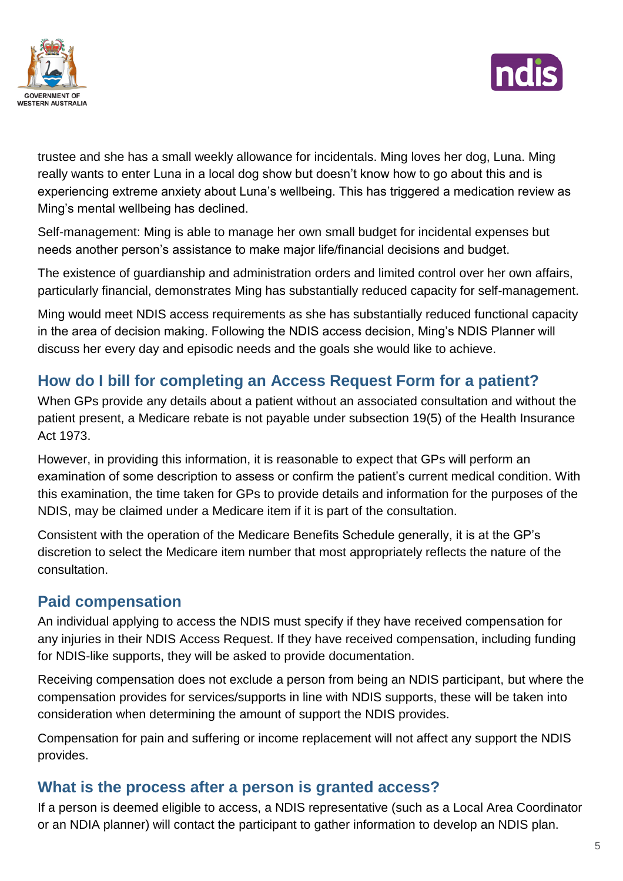



trustee and she has a small weekly allowance for incidentals. Ming loves her dog, Luna. Ming really wants to enter Luna in a local dog show but doesn't know how to go about this and is experiencing extreme anxiety about Luna's wellbeing. This has triggered a medication review as Ming's mental wellbeing has declined.

Self-management: Ming is able to manage her own small budget for incidental expenses but needs another person's assistance to make major life/financial decisions and budget.

The existence of guardianship and administration orders and limited control over her own affairs, particularly financial, demonstrates Ming has substantially reduced capacity for self-management.

Ming would meet NDIS access requirements as she has substantially reduced functional capacity in the area of decision making. Following the NDIS access decision, Ming's NDIS Planner will discuss her every day and episodic needs and the goals she would like to achieve.

# **How do I bill for completing an Access Request Form for a patient?**

When GPs provide any details about a patient without an associated consultation and without the patient present, a Medicare rebate is not payable under subsection 19(5) of the Health Insurance Act 1973.

However, in providing this information, it is reasonable to expect that GPs will perform an examination of some description to assess or confirm the patient's current medical condition. With this examination, the time taken for GPs to provide details and information for the purposes of the NDIS, may be claimed under a Medicare item if it is part of the consultation.

Consistent with the operation of the Medicare Benefits Schedule generally, it is at the GP's discretion to select the Medicare item number that most appropriately reflects the nature of the consultation.

# **Paid compensation**

An individual applying to access the NDIS must specify if they have received compensation for any injuries in their NDIS Access Request. If they have received compensation, including funding for NDIS-like supports, they will be asked to provide documentation.

Receiving compensation does not exclude a person from being an NDIS participant, but where the compensation provides for services/supports in line with NDIS supports, these will be taken into consideration when determining the amount of support the NDIS provides.

Compensation for pain and suffering or income replacement will not affect any support the NDIS provides.

## **What is the process after a person is granted access?**

If a person is deemed eligible to access, a NDIS representative (such as a Local Area Coordinator or an NDIA planner) will contact the participant to gather information to develop an NDIS plan.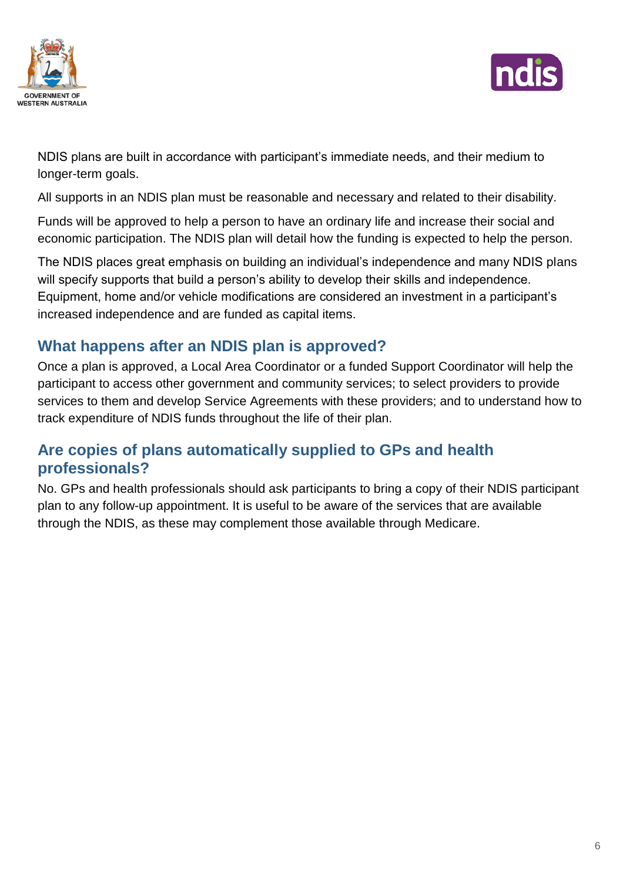



NDIS plans are built in accordance with participant's immediate needs, and their medium to longer-term goals.

All supports in an NDIS plan must be reasonable and necessary and related to their disability.

Funds will be approved to help a person to have an ordinary life and increase their social and economic participation. The NDIS plan will detail how the funding is expected to help the person.

The NDIS places great emphasis on building an individual's independence and many NDIS plans will specify supports that build a person's ability to develop their skills and independence. Equipment, home and/or vehicle modifications are considered an investment in a participant's increased independence and are funded as capital items.

# **What happens after an NDIS plan is approved?**

Once a plan is approved, a Local Area Coordinator or a funded Support Coordinator will help the participant to access other government and community services; to select providers to provide services to them and develop Service Agreements with these providers; and to understand how to track expenditure of NDIS funds throughout the life of their plan.

# **Are copies of plans automatically supplied to GPs and health professionals?**

No. GPs and health professionals should ask participants to bring a copy of their NDIS participant plan to any follow-up appointment. It is useful to be aware of the services that are available through the NDIS, as these may complement those available through Medicare.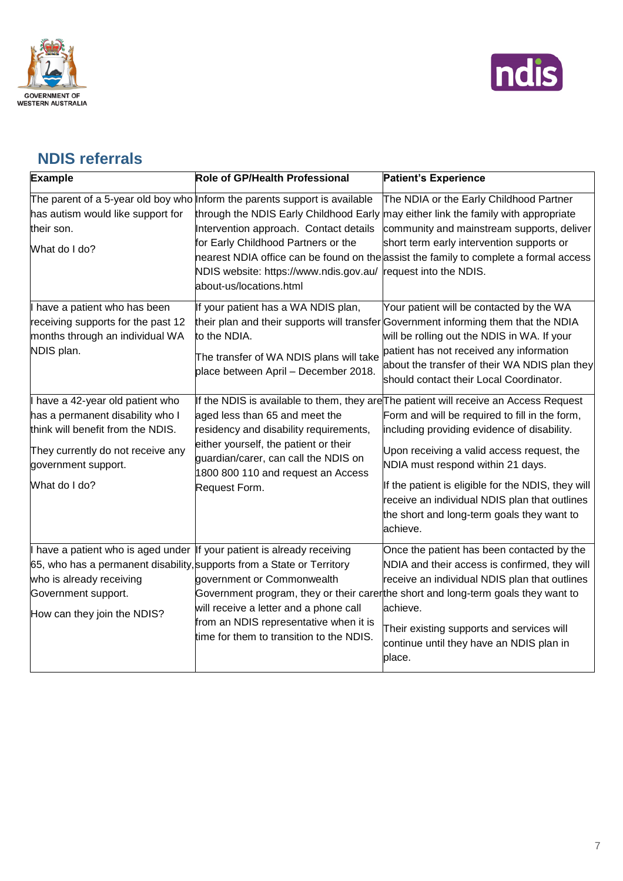



# **NDIS referrals**

| <b>Example</b>                                                                                                                                                                                                                     | <b>Role of GP/Health Professional</b>                                                                                                                                                                                            | <b>Patient's Experience</b>                                                                                                                                                                                                                                                                                                                                                                                                                |
|------------------------------------------------------------------------------------------------------------------------------------------------------------------------------------------------------------------------------------|----------------------------------------------------------------------------------------------------------------------------------------------------------------------------------------------------------------------------------|--------------------------------------------------------------------------------------------------------------------------------------------------------------------------------------------------------------------------------------------------------------------------------------------------------------------------------------------------------------------------------------------------------------------------------------------|
| has autism would like support for<br>their son.<br>What do I do?                                                                                                                                                                   | The parent of a 5-year old boy who Inform the parents support is available<br>Intervention approach. Contact details<br>for Early Childhood Partners or the<br>NDIS website: https://www.ndis.gov.au/<br>about-us/locations.html | The NDIA or the Early Childhood Partner<br>through the NDIS Early Childhood Early may either link the family with appropriate<br>community and mainstream supports, deliver<br>short term early intervention supports or<br>nearest NDIA office can be found on the assist the family to complete a formal access<br>request into the NDIS.                                                                                                |
| have a patient who has been<br>receiving supports for the past 12<br>months through an individual WA<br>NDIS plan.                                                                                                                 | If your patient has a WA NDIS plan,<br>to the NDIA.<br>The transfer of WA NDIS plans will take<br>place between April - December 2018.                                                                                           | Your patient will be contacted by the WA<br>their plan and their supports will transfer Government informing them that the NDIA<br>will be rolling out the NDIS in WA. If your<br>patient has not received any information<br>about the transfer of their WA NDIS plan they<br>should contact their Local Coordinator.                                                                                                                     |
| have a 42-year old patient who<br>has a permanent disability who I<br>think will benefit from the NDIS.<br>They currently do not receive any<br>government support.<br>What do I do?                                               | aged less than 65 and meet the<br>residency and disability requirements,<br>either yourself, the patient or their<br>guardian/carer, can call the NDIS on<br>1800 800 110 and request an Access<br>Request Form.                 | If the NDIS is available to them, they are The patient will receive an Access Request<br>Form and will be required to fill in the form,<br>including providing evidence of disability.<br>Upon receiving a valid access request, the<br>NDIA must respond within 21 days.<br>If the patient is eligible for the NDIS, they will<br>receive an individual NDIS plan that outlines<br>the short and long-term goals they want to<br>achieve. |
| have a patient who is aged under  If your patient is already receiving<br>65, who has a permanent disability, supports from a State or Territory<br>who is already receiving<br>Government support.<br>How can they join the NDIS? | government or Commonwealth<br>will receive a letter and a phone call<br>from an NDIS representative when it is<br>time for them to transition to the NDIS.                                                                       | Once the patient has been contacted by the<br>NDIA and their access is confirmed, they will<br>receive an individual NDIS plan that outlines<br>Government program, they or their carerthe short and long-term goals they want to<br>achieve.<br>Their existing supports and services will<br>continue until they have an NDIS plan in<br>place.                                                                                           |